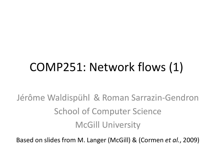# COMP251: Network flows (1)

Jérôme Waldispühl & Roman Sarrazin-Gendron School of Computer Science McGill University

Based on slides from M. Langer (McGill) & (Cormen *et al.*, 2009)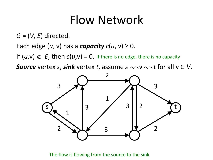#### Flow Network

*G* = (*V*, *E*) directed.

Each edge  $(u, v)$  has a *capacity*  $c(u, v) \geq 0$ .

If  $(u,v) \notin E$ , then  $c(u,v) = 0$ . If there is no edge, there is no capacity

*Source* vertex *s*, *sink* vertex *t*, assume  $s \sim v \sim t$  for all  $v \in V$ .



#### The flow is flowing from the source to the sink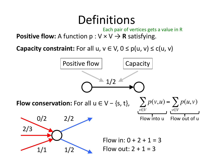#### Definitions

**Positive flow:** A function  $p: V \times V \rightarrow R$  satisfying. Each pair of vertices gets a value in R

**Capacity constraint:** For all u,  $v \in V$ ,  $0 \le p(u, v) \le c(u, v)$ 

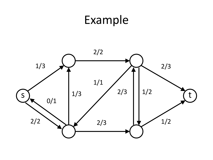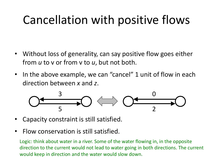## Cancellation with positive flows

- Without loss of generality, can say positive flow goes either from *u* to v or from v to *u*, but not both.
- In the above example, we can "cancel" 1 unit of flow in each direction between *x* and *z*.



- Capacity constraint is still satisfied.
- Flow conservation is still satisfied.

Logic: think about water in a river. Some of the water flowing in, in the opposite direction to the current would not lead to water going in both directions. The current would keep in direction and the water would slow down.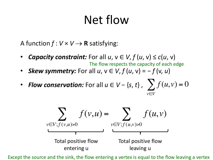## Net flow

A function  $f: V \times V \rightarrow \mathbf{R}$  satisfying:

- *Capacity constraint:* For all  $u, v \in V, f(u, v) \leq c(u, v)$ The flow respects the capacity of each edge
- **Skew symmetry:** For all  $u, v \in V$ ,  $f(u, v) = -f(v, u)$
- *Flow conservation:* For all  $u \in V \{s, t\}$ ,  $\sum f(u, v) = 0$ *v*∈*V*



Except the source and the sink, the flow entering a vertex is equal to the flow leaving a vertex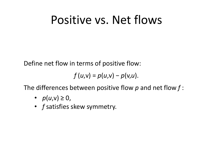#### Positive vs. Net flows

Define net flow in terms of positive flow:

$$
f(u,v)=p(u,v)-p(v,u).
$$

The differences between positive flow *p* and net flow *f* :

- $p(u,v) \ge 0$ ,
- *f* satisfies skew symmetry.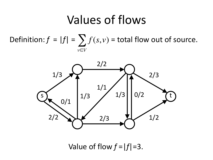#### Values of flows

Definition:  $f = |f| = \sum f(s, v)$  = total flow out of source. *v*∈*V*



Value of flow  $f = |f| = 3$ .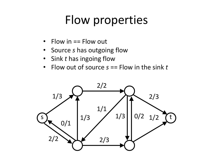## Flow properties

- Flow in == Flow out
- Source *s* has outgoing flow
- Sink *t* has ingoing flow
- Flow out of source *s* == Flow in the sink *t*

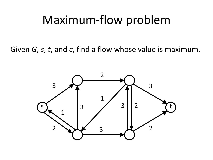#### Maximum-flow problem

Given *G*, *s*, *t*, and *c*, find a flow whose value is maximum.

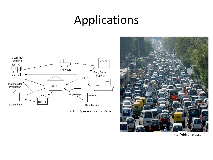### Applications



(https://ais.web.cern.ch/ais/)



(http://driverlayer.com)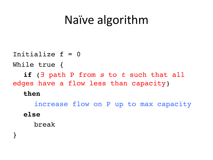### Naïve algorithm

Initialize  $f = 0$ While true { **if** (∃ path P from *s* to *t* such that all edges have a flow less than capacity) **then** increase flow on P up to max capacity **else** break

}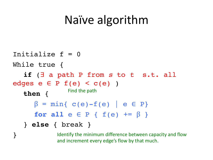### Naïve algorithm

Initialize  $f = 0$ While true { **if** (∃ a path P from *s* to *t* s.t. all edges  $e \in P$   $f(e) < c(e)$ ) **then** {  $\beta$  = min{ c(e)-f(e) | e  $\in$  P} **for all**  $e \in P \{ f(e) \dashv = \beta \}$ } **else** { break } Find the path

}

Identify the minimum difference between capacity and flow and increment every edge's flow by that much.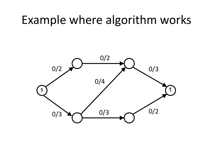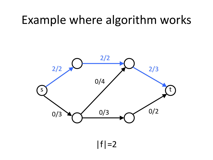

 $|f|=2$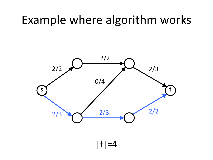

 $|f|=4$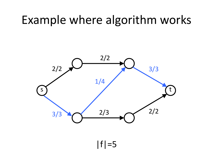

 $|f|=5$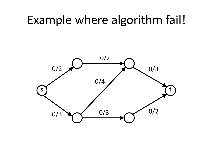#### Example where algorithm fail!

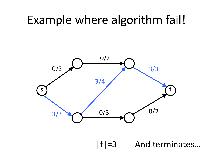#### Example where algorithm fail!



|f|=3 And terminates…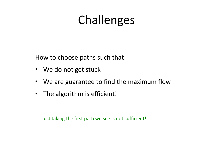## Challenges

How to choose paths such that:

- We do not get stuck
- We are guarantee to find the maximum flow
- The algorithm is efficient!

Just taking the first path we see is not sufficient!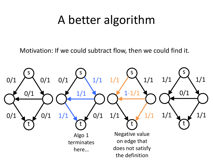### A better algorithm

Motivation: If we could subtract flow, then we could find it.

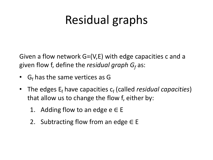## Residual graphs

Given a flow network G=(V,E) with edge capacities c and a given flow f, define the *residual graph G<sub>f</sub>* as:

- $G_f$  has the same vertices as G
- The edges E<sub>f</sub> have capacities c<sub>f</sub> (called *residual capacities*) that allow us to change the flow f, either by:
	- 1. Adding flow to an edge  $e \in E$
	- 2. Subtracting flow from an edge  $\in$  E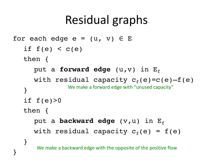## Residual graphs

```
for each edge e = (u, v) \in Eif f(e) < c(e)then {
      put a forward edge (u,v) in E<sub>f</sub>
      with residual capacity c_f(e)=c(e)-f(e)}
   if f(e) > 0then {
      put a backward edge (v,u) in Ef
      with residual capacity c_f(e) = f(e)}
}
                We make a forward edge with "unused capacity"
       We make a backward edge with the opposite of the positive flow
```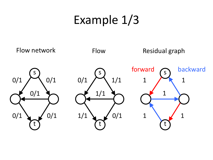## Example 1/3

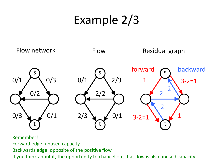## Example 2/3



Remember!

Forward edge: unused capacity

Backwards edge: opposite of the positive flow

If you think about it, the opportunity to chancel out that flow is also unused capacity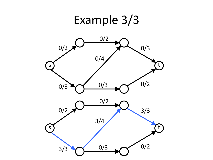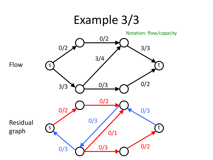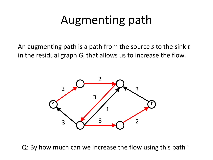## Augmenting path

An augmenting path is a path from the source *s* to the sink *t* in the residual graph  $G_f$  that allows us to increase the flow.



Q: By how much can we increase the flow using this path?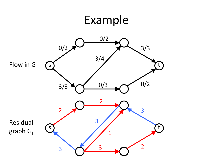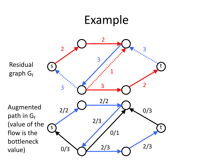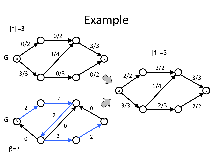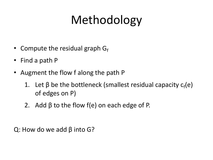# Methodology

- Compute the residual graph  $G_f$
- Find a path P
- Augment the flow f along the path P
	- 1. Let  $\beta$  be the bottleneck (smallest residual capacity  $c_f(e)$ of edges on P)
	- 2. Add  $\beta$  to the flow f(e) on each edge of P.

Q: How do we add β into G?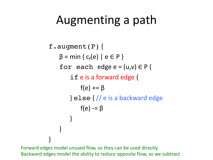### Augmenting a path

```
f.augment(P) {
    \beta = min { c<sub>f</sub>(e) | e \in P }
    for each edge e = (u,v) \in Pif e is a forward edge {
             f(e) += \beta\} else \frac{1}{2} e is a backward edge
             f(e) = \beta}
    }
}
```
Forward edges model unused flow, so they can be used directly Backward edges model the ability to reduce opposite flow, so we subtract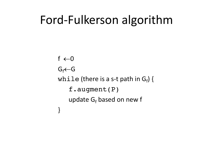#### Ford-Fulkerson algorithm

 $f \leftarrow 0$  $G_f$  $\leftarrow$  $G$ while (there is a s-t path in  $G_f$ ) { f.augment(P) update  $G_f$  based on new f }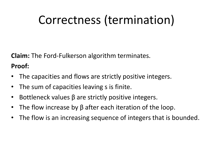## Correctness (termination)

**Claim:** The Ford-Fulkerson algorithm terminates.

**Proof:** 

- The capacities and flows are strictly positive integers.
- The sum of capacities leaving s is finite.
- Bottleneck values  $β$  are strictly positive integers.
- The flow increase by  $\beta$  after each iteration of the loop.
- The flow is an increasing sequence of integers that is bounded.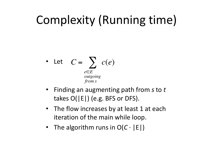# Complexity (Running time)

• Let 
$$
C = \sum_{\substack{e \in E \\ outgoing \\ from s}} c(e)
$$

- Finding an augmenting path from *s* to *t* takes  $O(|E|)$  (e.g. BFS or DFS).
- The flow increases by at least 1 at each iteration of the main while loop.
- The algorithm runs in  $O(C \cdot |E|)$